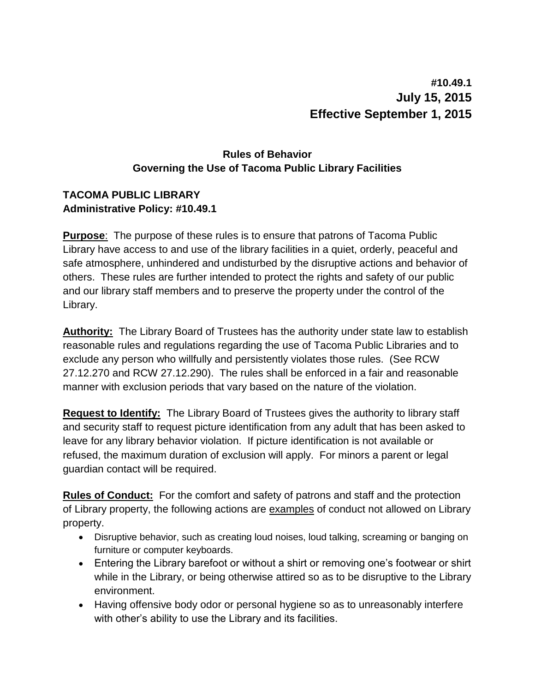## **#10.49.1 July 15, 2015 Effective September 1, 2015**

## **Rules of Behavior Governing the Use of Tacoma Public Library Facilities**

## **TACOMA PUBLIC LIBRARY Administrative Policy: #10.49.1**

**Purpose**: The purpose of these rules is to ensure that patrons of Tacoma Public Library have access to and use of the library facilities in a quiet, orderly, peaceful and safe atmosphere, unhindered and undisturbed by the disruptive actions and behavior of others. These rules are further intended to protect the rights and safety of our public and our library staff members and to preserve the property under the control of the Library.

**Authority:** The Library Board of Trustees has the authority under state law to establish reasonable rules and regulations regarding the use of Tacoma Public Libraries and to exclude any person who willfully and persistently violates those rules. (See RCW 27.12.270 and RCW 27.12.290). The rules shall be enforced in a fair and reasonable manner with exclusion periods that vary based on the nature of the violation.

**Request to Identify:** The Library Board of Trustees gives the authority to library staff and security staff to request picture identification from any adult that has been asked to leave for any library behavior violation. If picture identification is not available or refused, the maximum duration of exclusion will apply. For minors a parent or legal guardian contact will be required.

**Rules of Conduct:** For the comfort and safety of patrons and staff and the protection of Library property, the following actions are examples of conduct not allowed on Library property.

- Disruptive behavior, such as creating loud noises, loud talking, screaming or banging on furniture or computer keyboards.
- Entering the Library barefoot or without a shirt or removing one's footwear or shirt while in the Library, or being otherwise attired so as to be disruptive to the Library environment.
- Having offensive body odor or personal hygiene so as to unreasonably interfere with other's ability to use the Library and its facilities.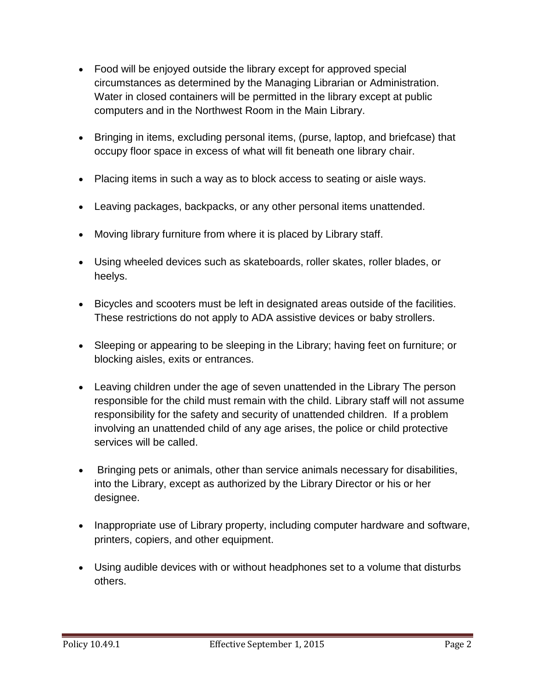- Food will be enjoyed outside the library except for approved special circumstances as determined by the Managing Librarian or Administration. Water in closed containers will be permitted in the library except at public computers and in the Northwest Room in the Main Library.
- Bringing in items, excluding personal items, (purse, laptop, and briefcase) that occupy floor space in excess of what will fit beneath one library chair.
- Placing items in such a way as to block access to seating or aisle ways.
- Leaving packages, backpacks, or any other personal items unattended.
- Moving library furniture from where it is placed by Library staff.
- Using wheeled devices such as skateboards, roller skates, roller blades, or heelys.
- Bicycles and scooters must be left in designated areas outside of the facilities. These restrictions do not apply to ADA assistive devices or baby strollers.
- Sleeping or appearing to be sleeping in the Library; having feet on furniture; or blocking aisles, exits or entrances.
- Leaving children under the age of seven unattended in the Library The person responsible for the child must remain with the child. Library staff will not assume responsibility for the safety and security of unattended children. If a problem involving an unattended child of any age arises, the police or child protective services will be called.
- Bringing pets or animals, other than service animals necessary for disabilities, into the Library, except as authorized by the Library Director or his or her designee.
- Inappropriate use of Library property, including computer hardware and software, printers, copiers, and other equipment.
- Using audible devices with or without headphones set to a volume that disturbs others.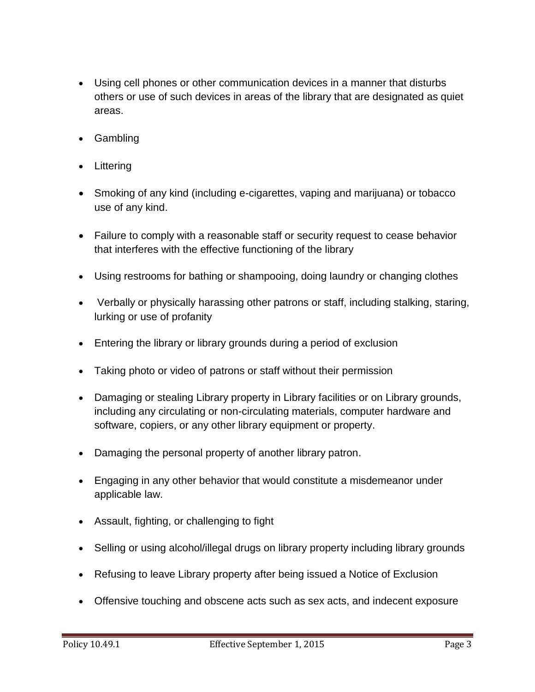- Using cell phones or other communication devices in a manner that disturbs others or use of such devices in areas of the library that are designated as quiet areas.
- Gambling
- Littering
- Smoking of any kind (including e-cigarettes, vaping and marijuana) or tobacco use of any kind.
- Failure to comply with a reasonable staff or security request to cease behavior that interferes with the effective functioning of the library
- Using restrooms for bathing or shampooing, doing laundry or changing clothes
- Verbally or physically harassing other patrons or staff, including stalking, staring, lurking or use of profanity
- Entering the library or library grounds during a period of exclusion
- Taking photo or video of patrons or staff without their permission
- Damaging or stealing Library property in Library facilities or on Library grounds, including any circulating or non-circulating materials, computer hardware and software, copiers, or any other library equipment or property.
- Damaging the personal property of another library patron.
- Engaging in any other behavior that would constitute a misdemeanor under applicable law.
- Assault, fighting, or challenging to fight
- Selling or using alcohol/illegal drugs on library property including library grounds
- Refusing to leave Library property after being issued a Notice of Exclusion
- Offensive touching and obscene acts such as sex acts, and indecent exposure